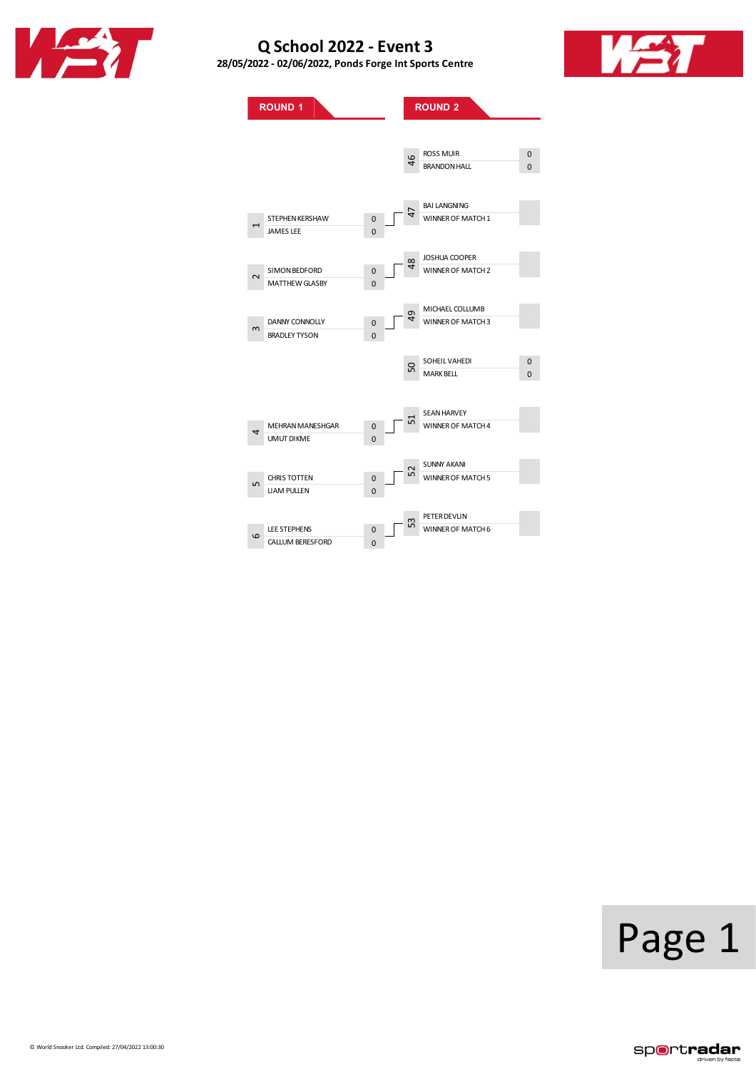

**28/05/2022 - 02/06/2022, PondsForge IntSports Centre**





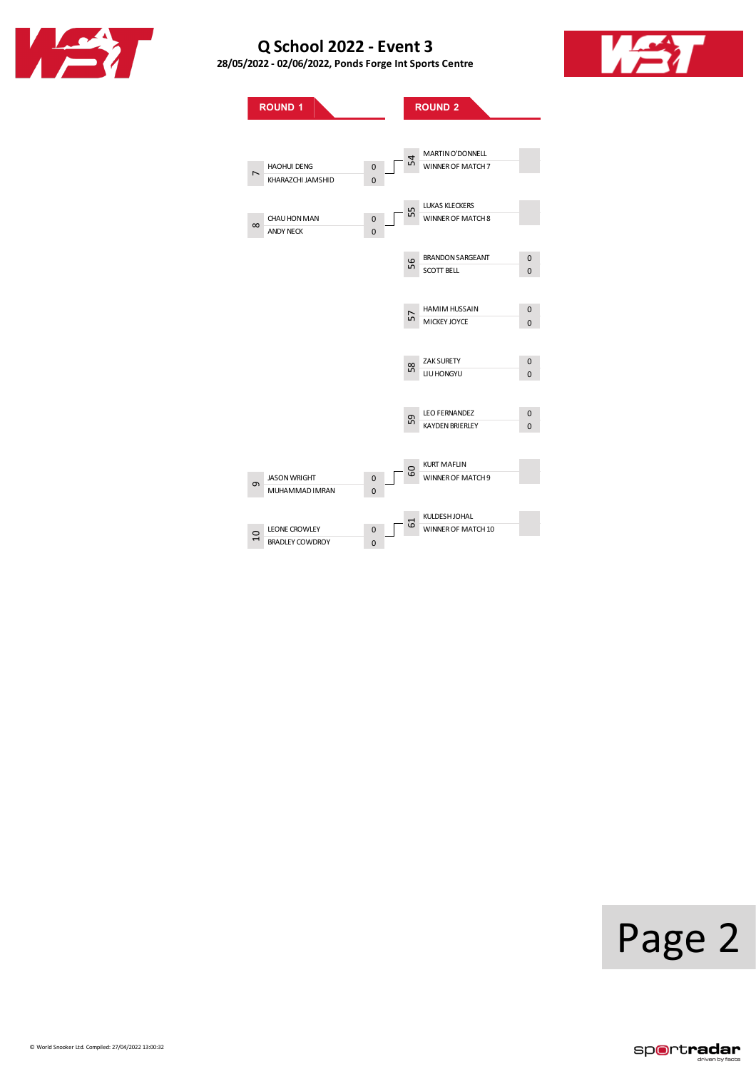

**28/05/2022 - 02/06/2022, PondsForge IntSports Centre**



**ROUND**<sub>1</sub> **ROUND**<sub>2</sub> HAOHUI DENG<br>KHARAZCHI JAMSHID 0 KHARAZCHI JAMSHID 0 CHAU HON MAN 0<br>ANDY NECK 0 ANDY NECK 0 JASONWRIGHT 0 MUHAMMADIMRAN 0 LEONE CROWLEY 0<br>BRADLEY COWDROY 0 BRADLEY COWDROY MARTINO'DONNELL WINNER OF MATCH 7 LUKAS KLECKERS WINNER OF MATCH 8 BRANDON SARGEANT 0 SCOTT BELL 0 HAMIMHUSSAIN 0 MICKEY JOYCE 0 ZAK SURETY 0 LIUHONGYU 0 LEO FERNANDEZ 0 KAYDEN BRIERLEY 0 KURT MAFLIN WINNER OF MATCH 9 KULDESHJOHAL WINNER OF MATCH 10  $\overline{r}$  $\infty$  $\sigma$ 10 54 55 56 58 60 61

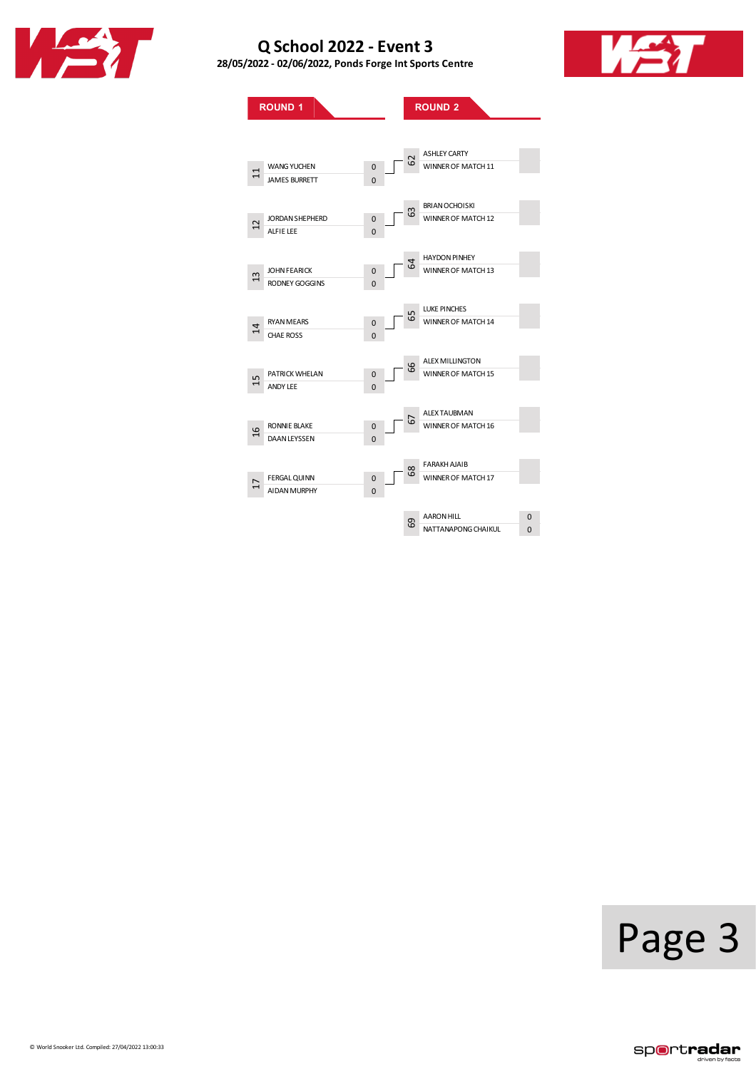

**28/05/2022 - 02/06/2022, PondsForge IntSports Centre**



**ROUND**<sub>1</sub> **ROUND**<sub>2</sub> WANG YUCHEN 0<br>JAMES BURRETT 0 JAMES BURRETT JORDAN SHEPHERD 0<br>ALFIE LEE 0 ALFIELEE 0 JOHN FEARICK 0<br>RODNEY GOGGINS 0 RODNEY GOGGINS RYAN MEARS 0<br>CHAE ROSS 0 CHAE ROSS PATRICK WHELAN 0<br>ANDY LEE 0 ANDY LEE RONNIE BLAKE 0<br>DAAN LEYSSEN 0 DAAN LEYSSEN FERGAL QUINN 0<br>AIDAN MURPHY 0 AIDAN MURPHY ASHLEY CARTY WINNER OF MATCH 11 BRIANOCHOISKI WINNER OF MATCH 12 HAYDON PINHEY WINNER OF MATCH 13 LUKE PINCHES WINNER OF MATCH 14 ALEX MILLINGTON WINNER OF MATCH 15 ALEX TAUBMAN WINNER OF MATCH 16 FARAKH AJAIB WINNER OF MATCH 17 AARON HILL **O** NATTANAPONG CHAIKUL<sup>0</sup>0 11 12 13 14 15 16 17 62 63 64 65 66 68 69

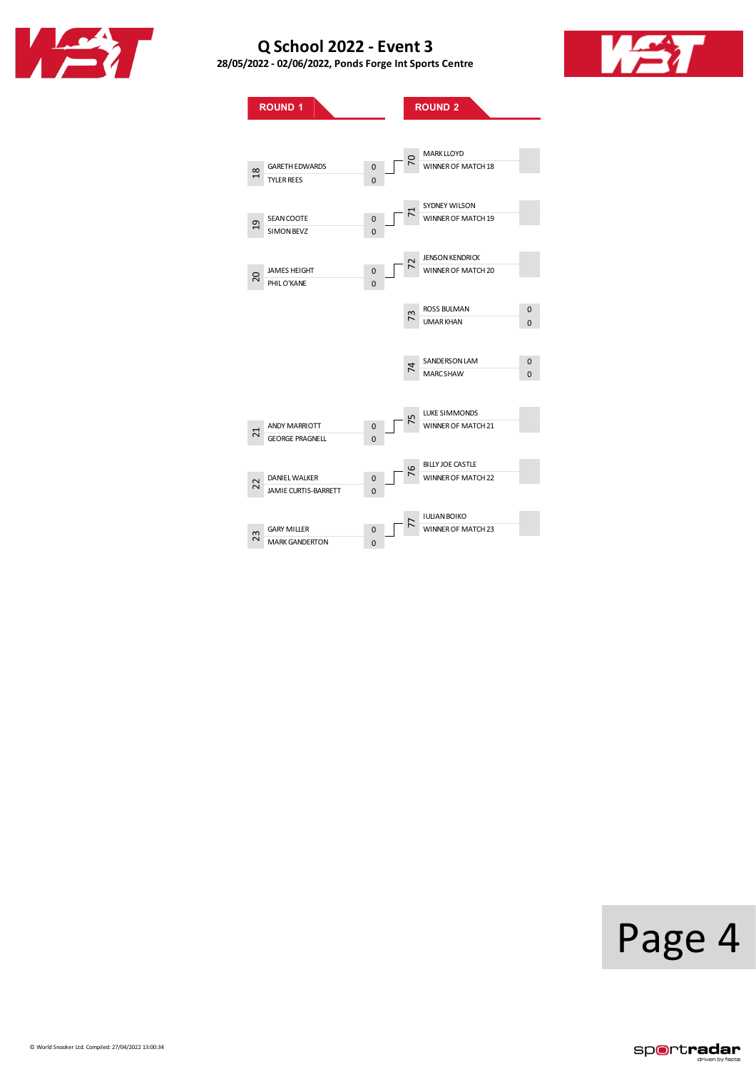

**28/05/2022 - 02/06/2022, PondsForge IntSports Centre**



**ROUND**<sub>1</sub> **ROUND**<sub>2</sub> GARETH EDWARDS 0<br>TYLER REES 0 TYLER REES SEAN COOTE 0<br>SIMON BEVZ 0 SIMON BEVZ JAMES HEIGHT 0<br>PHILO'KANE 0 PHILO'KANE ANDY MARRIOTT 0<br>GEORGE PRAGNELL 0 GEORGE PRAGNELL DANIELWALKER 0 JAMIE CURTIS-BARRETT 0 GARYMILLER 0 MARK GANDERTON MARK LLOYD WINNER OF MATCH 18 SYDNEY WILSON WINNER OF MATCH 19 JENSONKENDRICK WINNER OF MATCH 20 ROSS BULMAN 0 UMARKHAN 0 SANDERSON LAM
0 MARCSHAW 0 LUKE SIMMONDS WINNER OF MATCH 21 BILLYJOE CASTLE WINNER OF MATCH 22 IULIANBOIKO WINNER OF MATCH 23 18 19 20 21 22 23 70 71 72 74 76 77

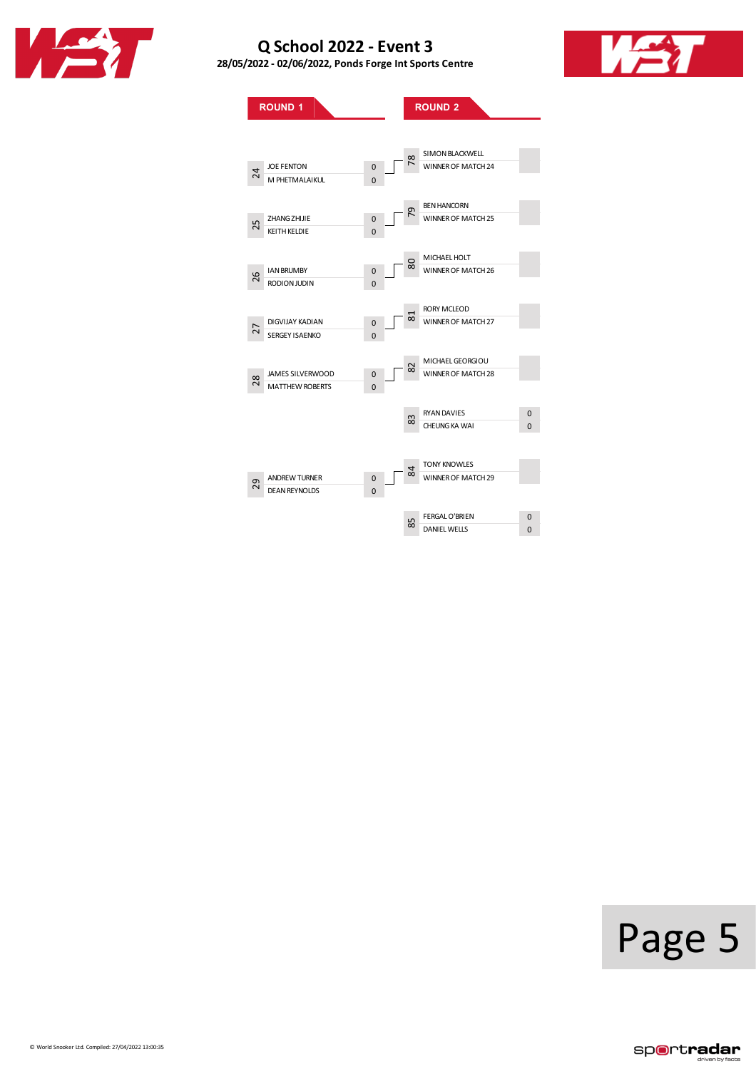

**28/05/2022 - 02/06/2022, PondsForge IntSports Centre**



**ROUND**<sub>1</sub> **ROUND**<sub>2</sub> JOEFENTON 0 M PHETMALAIKUL EXAMINE UNIVERSITY OF STATE OF STATE OF STATE OF STATE OF STATE OF STATE OF STATE OF STATE OF STATE OF STATE O KEITH KELDIE IAN BRUMBY 0<br>RODION JUDIN 0 **RODIONJUDIN** DIGVIJAY KADIAN 0<br>SERGEY ISAENKO 0 SERGEY ISAENKO JAMESSILVERWOOD 0 MATTHEW ROBERTS ANDREW TURNER 0<br>DEAN REYNOLDS 0 DEAN REYNOLDS SIMONBLACKWELL WINNER OF MATCH 24 BENHANCORN WINNER OF MATCH 25 MICHAELHOLT WINNER OF MATCH 26 RORY MCLEOD WINNER OF MATCH 27 MICHAELGEORGIOU WINNER OF MATCH 28 RYANDAVIES 0 **CHEUNG KA WAI 0** TONY KNOWLES WINNER OF MATCH 29 FERGAL O'BRIEN 0<br>DANIEL WELLS 0 DANIEL WELLS 24 25 26 27 28 29 78 79 80 81 82 84 85

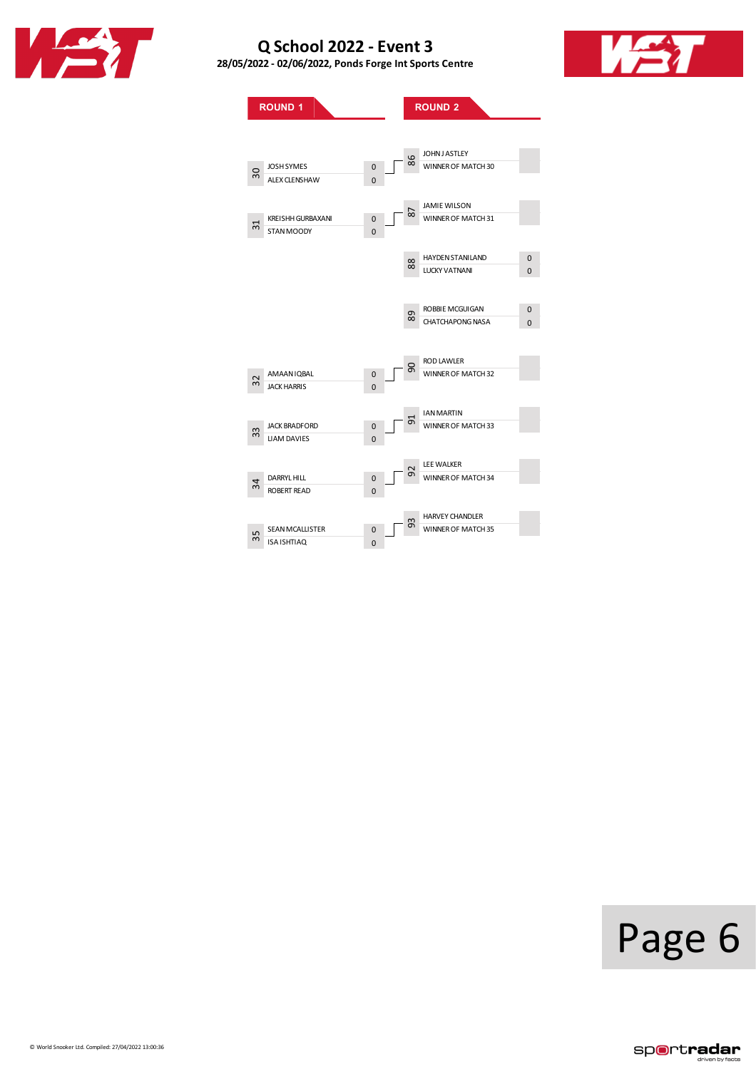

**28/05/2022 - 02/06/2022, PondsForge IntSports Centre**



**ROUND**<sub>1</sub> **ROUND**<sub>2</sub> JOSH SYMES 0<br>ALEX CLENSHAW 0 ALEX CLENSHAW 0 KREISHH GURBAXANI 0<br>STAN MOODY 0 STANMOODY 0 AMAANIQBAL 0<br>JACK HARRIS 0 **JACK HARRIS** JACK BRADFORD 0 LIAM DAVIES DARRYL HILL 0<br>ROBERT READ 0 ROBERT READ SEAN MCALLISTER 0<br>ISA ISHTIAQ 0 0 ISA ISHTIAQ 0 JOHNJ ASTLEY WINNER OF MATCH 30 JAMIEWILSON WINNER OF MATCH 31 HAYDEN STANILAND 0 LUCKY VATNANI 0 ROBBIE MCGUIGAN 0<br>CHATCHAPONG NASA 0 CHATCHAPONG NASA RODLAWLER WINNER OF MATCH 32 IANMARTIN MINNER OF MATCH 33 LEEWALKER WINNER OF MATCH 34 HARVEY CHANDLER WINNER OF MATCH 35 30 32 33 34 35 86 87 88 89 90 92 93

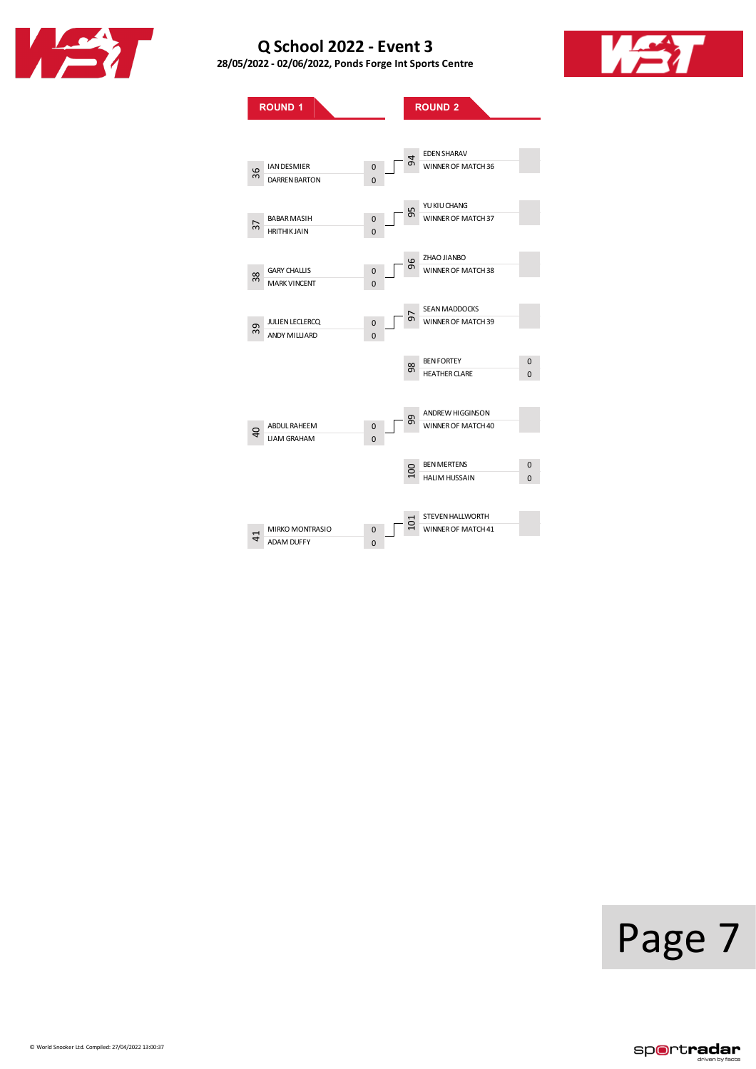

**28/05/2022 - 02/06/2022, PondsForge IntSports Centre**



**ROUND**<sub>1</sub> **ROUND**<sub>2</sub> IAN DESMIER 0<br>DARREN BARTON 0 DARREN BARTON BABAR MASIH 0<br>HRITHIK JAIN 0 HRITHIK JAIN 0 GARY CHALLIS 0<br>MARK VINCENT 0 MARK VINCENT JULIENLECLERCQ 0 ANDY MILLIARD 0 ABDUL RAHEEM 0<br>LIAM GRAHAM 0 LIAM GRAHAM MIRKOMONTRASIO 0 ADAM DUFFY EDENSHARAV WINNER OF MATCH 36 YU KI U CHANG WINNER OF MATCH 37 ZHAO JIANBO WINNER OF MATCH 38 SEANMADDOCKS WINNER OF MATCH 39 BEN FORTEY 0 HEATHER CLARE 0 ANDREW HIGGINSON WINNER OF MATCH 40 BEN MERTENS 0 A BEN'NIERIENS 0<br>
HALIM HUSSAIN 0 STEVEN HALLWORTH WINNER OF MATCH 41 36 37 38 39 40 41 94 95 96 97 98 99

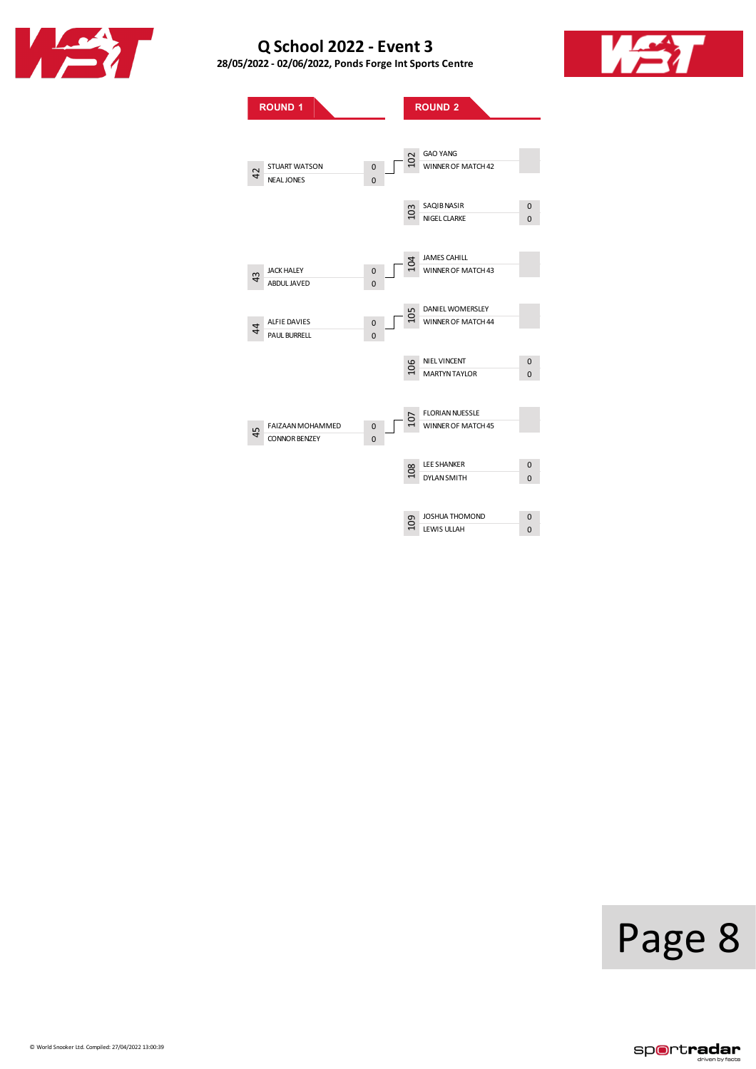

**28/05/2022 - 02/06/2022, PondsForge IntSports Centre**



**ROUND**<sub>1</sub> **ROUND**<sub>2</sub> STUART WATSON 0<br>NEAL JONES 0 NEAL JONES JACK HALEY 0<br>ABDUL JAVED 0 ABDUL JAVED ALFIE DAVIES 0 PAUL BURRELL **0** FAIZAAN MOHAMMED 0<br>CONNOR BENZEY 0 CONNOR BENZEY GAO YANG C GAO TAING<br>
WINNER OF MATCH 42 SAQIBNASIR 0<br>NIGEL CLARKE 0 NIGEL CLARKE JAMES CAHILL WINNER OF MATCH 43 DANIEL WOMERSLEY WINNER OF MATCH 44 NIEL VINCENT 0 MARTYNTAYLOR 0 FLORIAN NUESSLE MINNER OF MATCH 45 LEE SHANKER 0<br>DYLAN SMITH 0 DYLAN SMITH JOSHUA THOMOND 0 a Joshua I HOMOND<br>
H LEWIS ULLAH 0 42 43  $\sharp$ 45 103 104 105 106 108

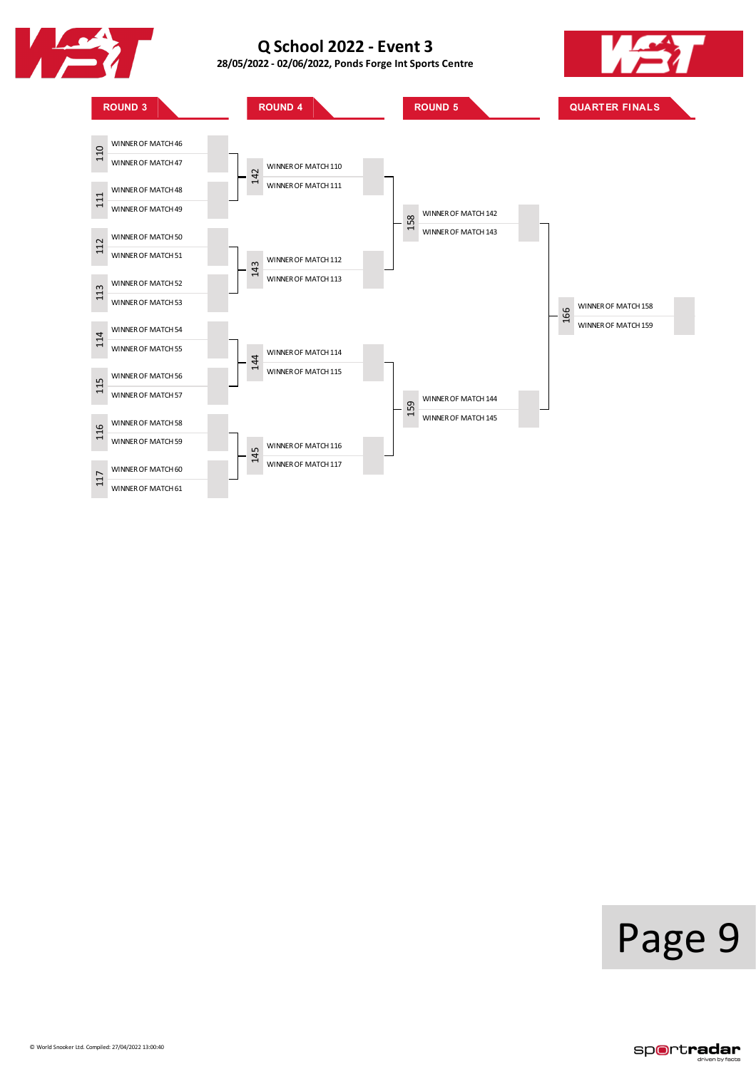

**28/05/2022 - 02/06/2022, PondsForge IntSports Centre**





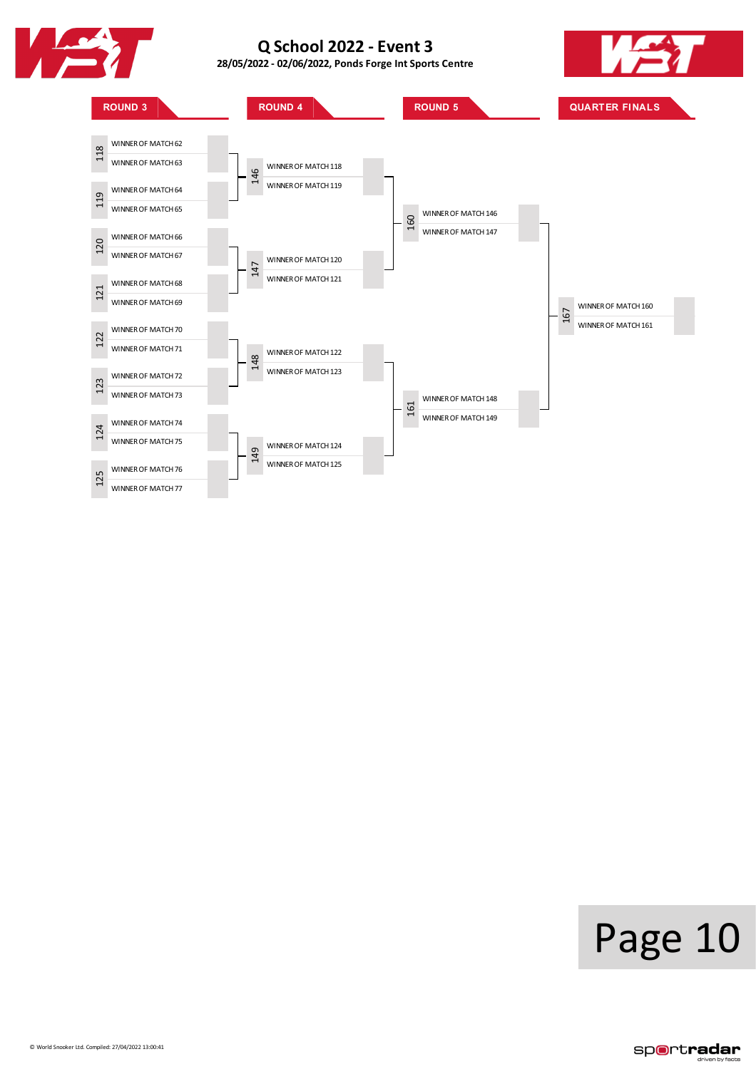

**28/05/2022 - 02/06/2022, PondsForge IntSports Centre**





## Page 10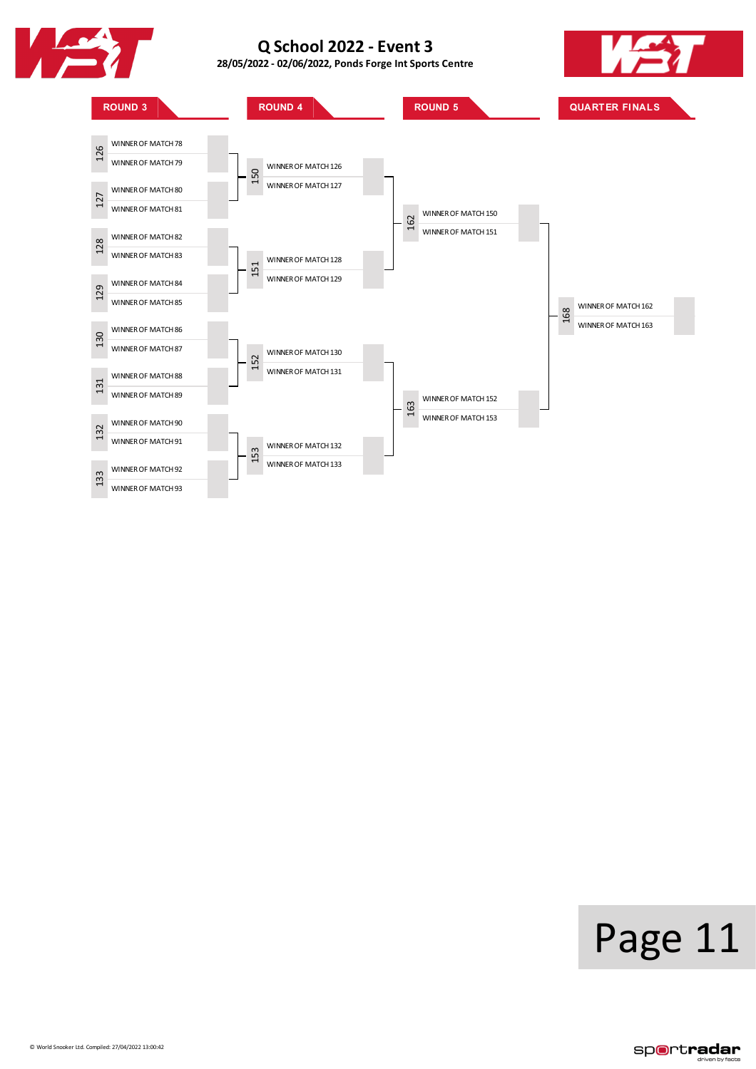

**28/05/2022 - 02/06/2022, PondsForge IntSports Centre**





# Page 11